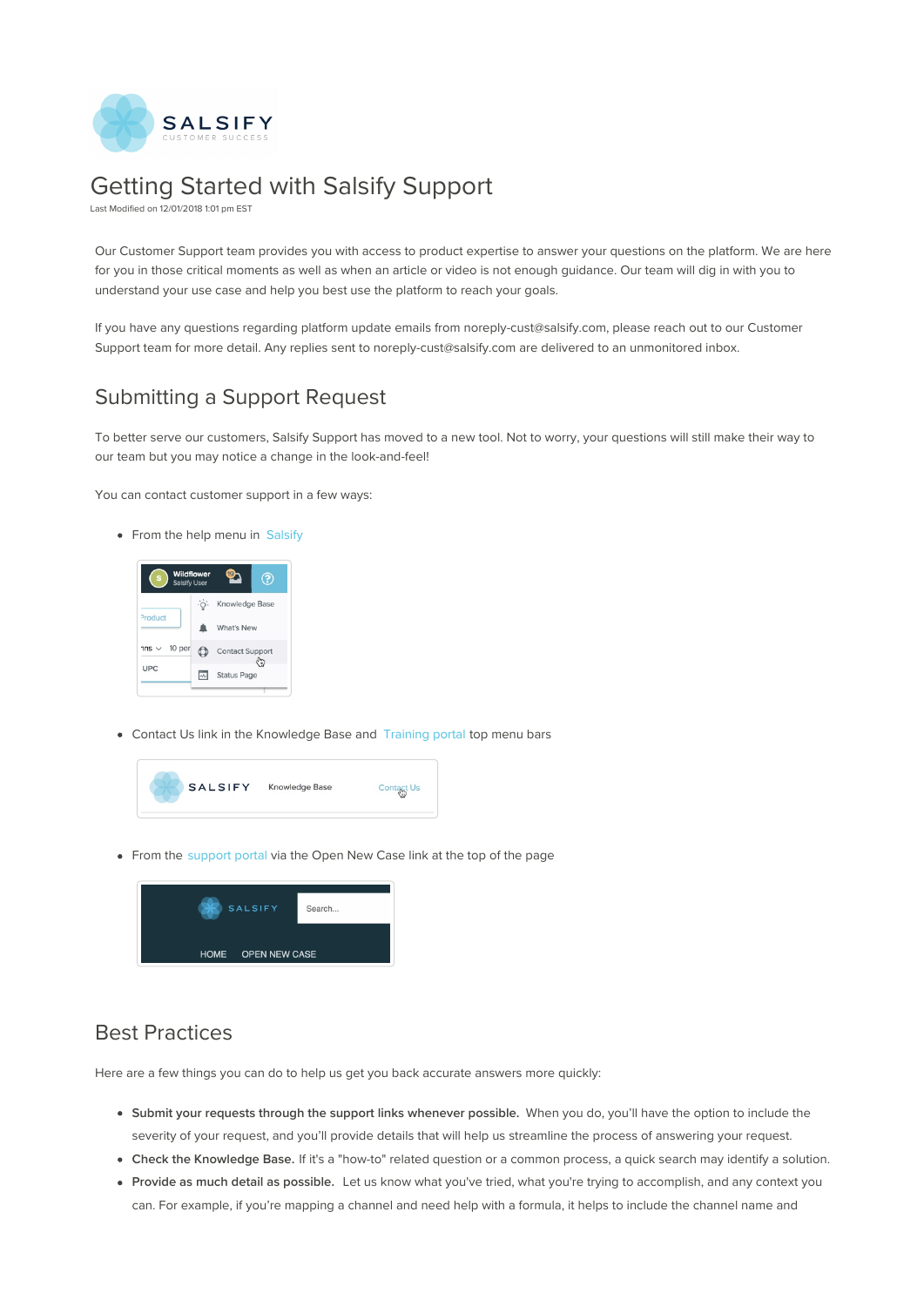

# Getting Started with Salsify Support

Last Modified on 12/01/2018 1:01 pm EST

Our Customer Support team provides you with access to product expertise to answer your questions on the platform. We are here for you in those critical moments as well as when an article or video is not enough guidance. Our team will dig in with you to understand your use case and help you best use the platform to reach your goals.

If you have any questions regarding platform update emails from noreply-cust@salsify.com, please reach out to our Customer Support team for more detail. Any replies sent to noreply-cust@salsify.com are delivered to an unmonitored inbox.

## Submitting a Support Request

To better serve our customers, Salsify Support has moved to a new tool. Not to worry, your questions will still make their way to our team but you may notice a change in the look-and-feel!

You can contact customer support in a few ways:

• From the help menu in Salsify



Contact Us link in the Knowledge Base and Training portal top menu bars



• From the support portal via the Open New Case link at the top of the page

| <b>SALSIFY</b>     | Search |
|--------------------|--------|
| HOME OPEN NEW CASE |        |

#### Best Practices

Here are a few things you can do to help us get you back accurate answers more quickly:

- **Submit your requests through the support links whenever possible.** When you do, you'll have the option to include the severity of your request, and you'll provide details that will help us streamline the process of answering your request.
- **Check the Knowledge Base.** If it's a "how-to" related question or a common process, a quick search may identify a solution.
- **Provide as much detail as possible.** Let us know what you've tried, what you're trying to accomplish, and any context you can. For example, if you're mapping a channel and need help with a formula, it helps to include the channel name and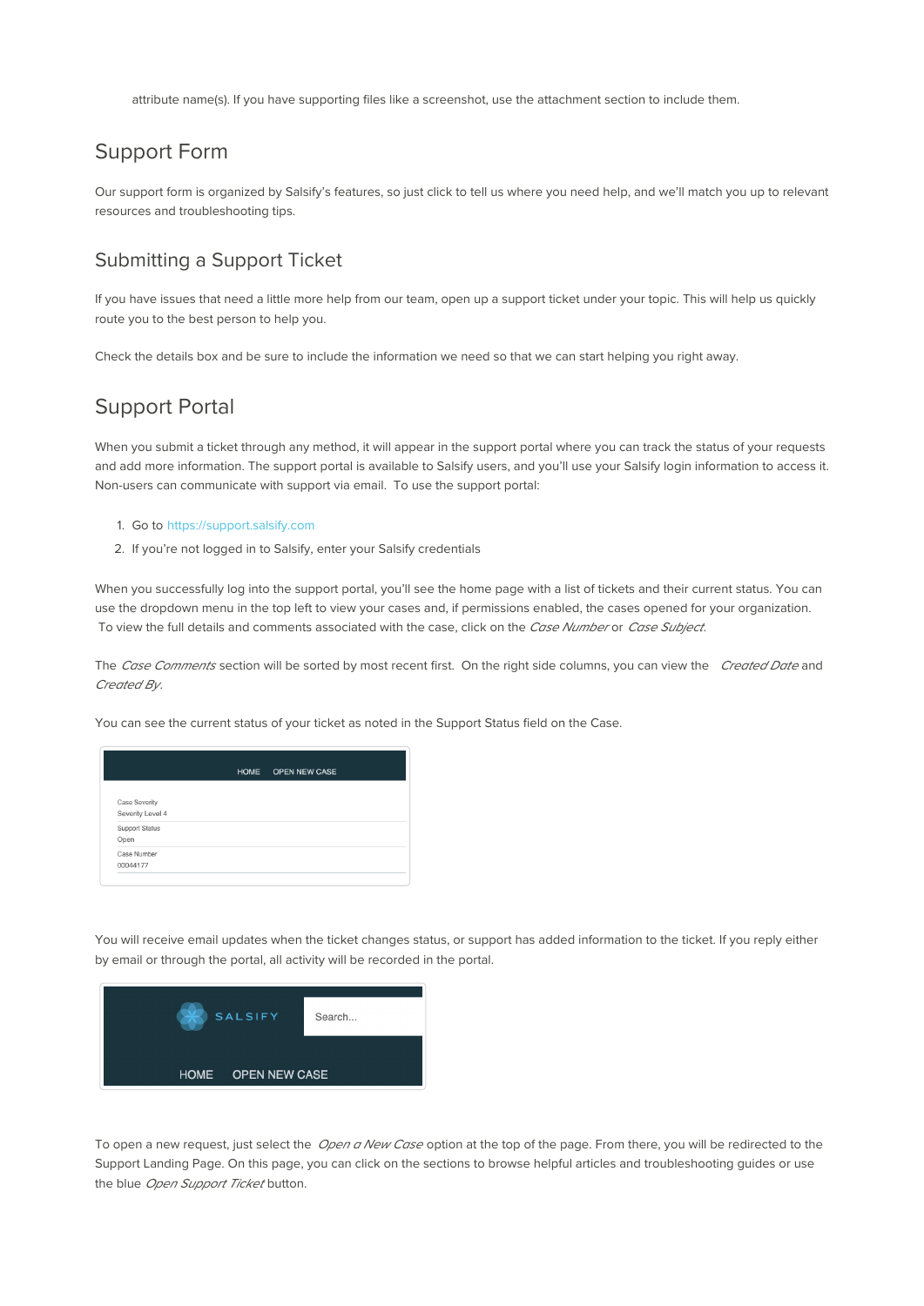attribute name(s). If you have supporting files like a screenshot, use the attachment section to include them.

## Support Form

Our support form is organized by Salsify's features, so just click to tell us where you need help, and we'll match you up to relevant resources and troubleshooting tips.

#### Submitting a Support Ticket

If you have issues that need a little more help from our team, open up a support ticket under your topic. This will help us quickly route you to the best person to help you.

Check the details box and be sure to include the information we need so that we can start helping you right away.

### Support Portal

When you submit a ticket through any method, it will appear in the support portal where you can track the status of your requests and add more information. The support portal is available to Salsify users, and you'll use your Salsify login information to access it. Non-users can communicate with support via email. To use the support portal:

- 1. Go to https://support.salsify.com
- 2. If you're not logged in to Salsify, enter your Salsify credentials

When you successfully log into the support portal, you'll see the home page with a list of tickets and their current status. You can use the dropdown menu in the top left to view your cases and, if permissions enabled, the cases opened for your organization. To view the full details and comments associated with the case, click on the Case Number or Case Subject.

The Case Comments section will be sorted by most recent first. On the right side columns, you can view the Created Date and Created By.

You can see the current status of your ticket as noted in the Support Status field on the Case.

|                       | HOME OPEN NEW CASE |  |
|-----------------------|--------------------|--|
| <b>Case Severity</b>  |                    |  |
| Severity Level 4      |                    |  |
| <b>Support Status</b> |                    |  |
| Open                  |                    |  |
| Case Number           |                    |  |
| 00044177              |                    |  |

You will receive email updates when the ticket changes status, or support has added information to the ticket. If you reply either by email or through the portal, all activity will be recorded in the portal.



To open a new request, just select the Open a New Case option at the top of the page. From there, you will be redirected to the Support Landing Page. On this page, you can click on the sections to browse helpful articles and troubleshooting guides or use the blue Open Support Ticket button.